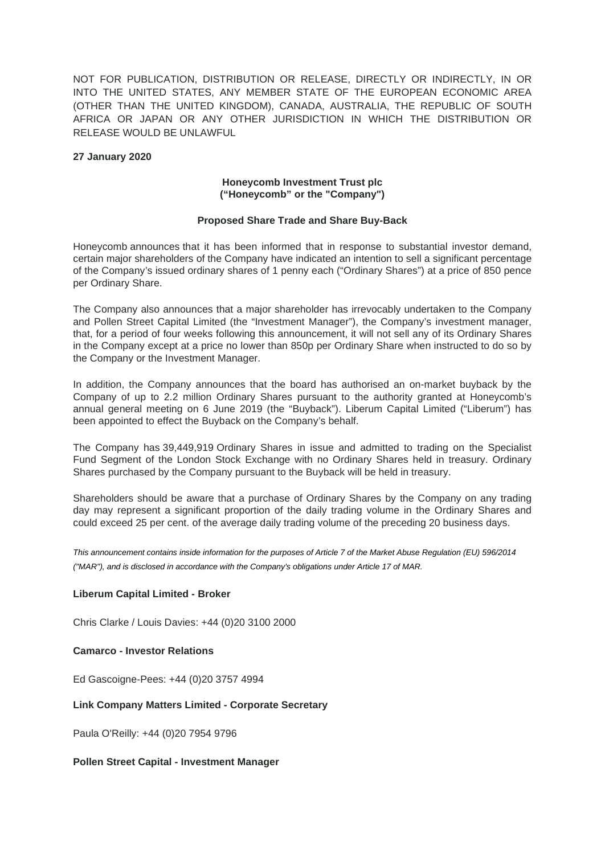NOT FOR PUBLICATION, DISTRIBUTION OR RELEASE, DIRECTLY OR INDIRECTLY, IN OR INTO THE UNITED STATES, ANY MEMBER STATE OF THE EUROPEAN ECONOMIC AREA (OTHER THAN THE UNITED KINGDOM), CANADA, AUSTRALIA, THE REPUBLIC OF SOUTH AFRICA OR JAPAN OR ANY OTHER JURISDICTION IN WHICH THE DISTRIBUTION OR RELEASE WOULD BE UNLAWFUL

### **27 January 2020**

## **Honeycomb Investment Trust plc ("Honeycomb" or the "Company")**

### **Proposed Share Trade and Share Buy-Back**

Honeycomb announces that it has been informed that in response to substantial investor demand, certain major shareholders of the Company have indicated an intention to sell a significant percentage of the Company's issued ordinary shares of 1 penny each ("Ordinary Shares") at a price of 850 pence per Ordinary Share.

The Company also announces that a major shareholder has irrevocably undertaken to the Company and Pollen Street Capital Limited (the "Investment Manager"), the Company's investment manager, that, for a period of four weeks following this announcement, it will not sell any of its Ordinary Shares in the Company except at a price no lower than 850p per Ordinary Share when instructed to do so by the Company or the Investment Manager.

In addition, the Company announces that the board has authorised an on-market buyback by the Company of up to 2.2 million Ordinary Shares pursuant to the authority granted at Honeycomb's annual general meeting on 6 June 2019 (the "Buyback"). Liberum Capital Limited ("Liberum") has been appointed to effect the Buyback on the Company's behalf.

The Company has 39,449,919 Ordinary Shares in issue and admitted to trading on the Specialist Fund Segment of the London Stock Exchange with no Ordinary Shares held in treasury. Ordinary Shares purchased by the Company pursuant to the Buyback will be held in treasury.

Shareholders should be aware that a purchase of Ordinary Shares by the Company on any trading day may represent a significant proportion of the daily trading volume in the Ordinary Shares and could exceed 25 per cent. of the average daily trading volume of the preceding 20 business days.

*This announcement contains inside information for the purposes of Article 7 of the Market Abuse Regulation (EU) 596/2014 ("MAR"), and is disclosed in accordance with the Company's obligations under Article 17 of MAR.*

# **Liberum Capital Limited - Broker**

Chris Clarke / Louis Davies: +44 (0)20 3100 2000

**Camarco - Investor Relations** 

Ed Gascoigne-Pees: +44 (0)20 3757 4994

#### **Link Company Matters Limited - Corporate Secretary**

Paula O'Reilly: +44 (0)20 7954 9796

#### **Pollen Street Capital - Investment Manager**